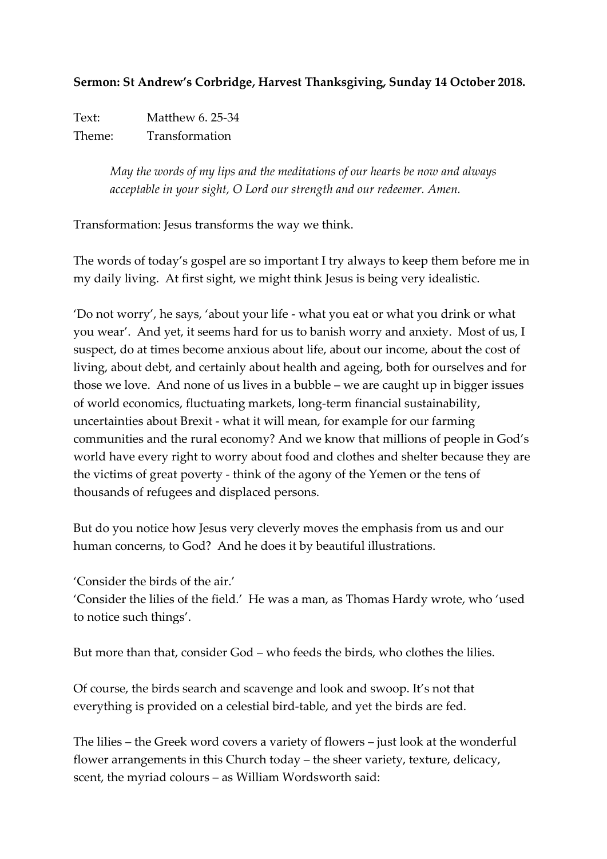## **Sermon: St Andrew's Corbridge, Harvest Thanksgiving, Sunday 14 October 2018.**

Text: Matthew 6. 25-34 Theme: Transformation

> *May the words of my lips and the meditations of our hearts be now and always acceptable in your sight, O Lord our strength and our redeemer. Amen.*

Transformation: Jesus transforms the way we think.

The words of today's gospel are so important I try always to keep them before me in my daily living. At first sight, we might think Jesus is being very idealistic.

'Do not worry', he says, 'about your life - what you eat or what you drink or what you wear'. And yet, it seems hard for us to banish worry and anxiety. Most of us, I suspect, do at times become anxious about life, about our income, about the cost of living, about debt, and certainly about health and ageing, both for ourselves and for those we love. And none of us lives in a bubble – we are caught up in bigger issues of world economics, fluctuating markets, long-term financial sustainability, uncertainties about Brexit - what it will mean, for example for our farming communities and the rural economy? And we know that millions of people in God's world have every right to worry about food and clothes and shelter because they are the victims of great poverty - think of the agony of the Yemen or the tens of thousands of refugees and displaced persons.

But do you notice how Jesus very cleverly moves the emphasis from us and our human concerns, to God? And he does it by beautiful illustrations.

'Consider the birds of the air.'

'Consider the lilies of the field.' He was a man, as Thomas Hardy wrote, who 'used to notice such things'.

But more than that, consider God – who feeds the birds, who clothes the lilies.

Of course, the birds search and scavenge and look and swoop. It's not that everything is provided on a celestial bird-table, and yet the birds are fed.

The lilies – the Greek word covers a variety of flowers – just look at the wonderful flower arrangements in this Church today – the sheer variety, texture, delicacy, scent, the myriad colours – as William Wordsworth said: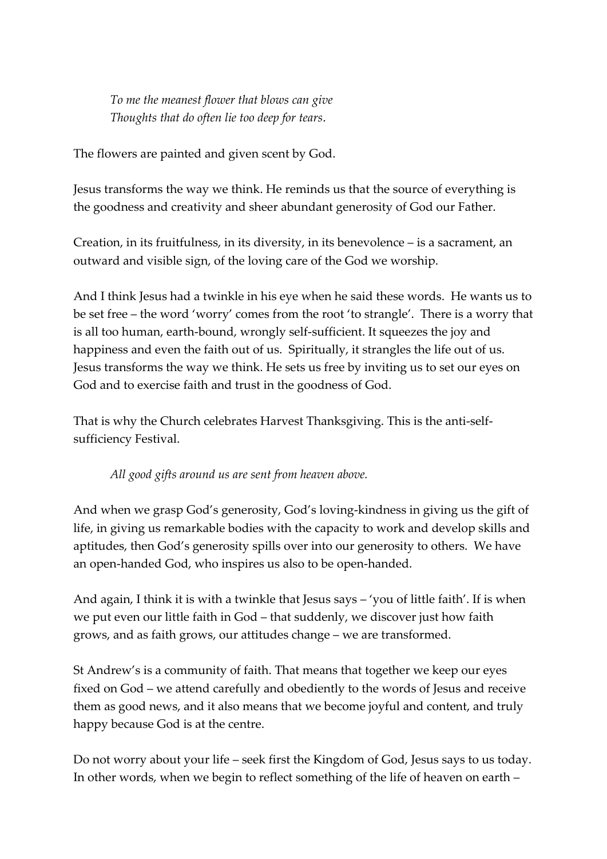*To me the meanest flower that blows can give Thoughts that do often lie too deep for tears*.

The flowers are painted and given scent by God.

Jesus transforms the way we think. He reminds us that the source of everything is the goodness and creativity and sheer abundant generosity of God our Father.

Creation, in its fruitfulness, in its diversity, in its benevolence – is a sacrament, an outward and visible sign, of the loving care of the God we worship.

And I think Jesus had a twinkle in his eye when he said these words. He wants us to be set free – the word 'worry' comes from the root 'to strangle'. There is a worry that is all too human, earth-bound, wrongly self-sufficient. It squeezes the joy and happiness and even the faith out of us. Spiritually, it strangles the life out of us. Jesus transforms the way we think. He sets us free by inviting us to set our eyes on God and to exercise faith and trust in the goodness of God.

That is why the Church celebrates Harvest Thanksgiving. This is the anti-selfsufficiency Festival.

*All good gifts around us are sent from heaven above.*

And when we grasp God's generosity, God's loving-kindness in giving us the gift of life, in giving us remarkable bodies with the capacity to work and develop skills and aptitudes, then God's generosity spills over into our generosity to others. We have an open-handed God, who inspires us also to be open-handed.

And again, I think it is with a twinkle that Jesus says – 'you of little faith'. If is when we put even our little faith in God – that suddenly, we discover just how faith grows, and as faith grows, our attitudes change – we are transformed.

St Andrew's is a community of faith. That means that together we keep our eyes fixed on God – we attend carefully and obediently to the words of Jesus and receive them as good news, and it also means that we become joyful and content, and truly happy because God is at the centre.

Do not worry about your life – seek first the Kingdom of God, Jesus says to us today. In other words, when we begin to reflect something of the life of heaven on earth –